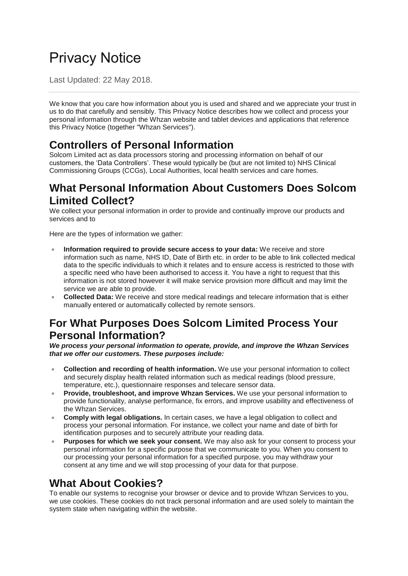# Privacy Notice

Last Updated: 22 May 2018.

We know that you care how information about you is used and shared and we appreciate your trust in us to do that carefully and sensibly. This Privacy Notice describes how we collect and process your personal information through the Whzan website and tablet devices and applications that reference this Privacy Notice (together "Whzan Services").

## **Controllers of Personal Information**

Solcom Limited act as data processors storing and processing information on behalf of our customers, the 'Data Controllers'. These would typically be (but are not limited to) NHS Clinical Commissioning Groups (CCGs), Local Authorities, local health services and care homes.

#### **What Personal Information About Customers Does Solcom Limited Collect?**

We collect your personal information in order to provide and continually improve our products and services and to

Here are the types of information we gather:

- **Information required to provide secure access to your data:** We receive and store information such as name, NHS ID, Date of Birth etc. in order to be able to link collected medical data to the specific individuals to which it relates and to ensure access is restricted to those with a specific need who have been authorised to access it. You have a right to request that this information is not stored however it will make service provision more difficult and may limit the service we are able to provide.
- **Collected Data:** We receive and store medical readings and telecare information that is either manually entered or automatically collected by remote sensors.

#### **For What Purposes Does Solcom Limited Process Your Personal Information?**

*We process your personal information to operate, provide, and improve the Whzan Services that we offer our customers. These purposes include:*

- **Collection and recording of health information.** We use your personal information to collect and securely display health related information such as medical readings (blood pressure, temperature, etc.), questionnaire responses and telecare sensor data.
- **Provide, troubleshoot, and improve Whzan Services.** We use your personal information to provide functionality, analyse performance, fix errors, and improve usability and effectiveness of the Whzan Services.
- **Comply with legal obligations.** In certain cases, we have a legal obligation to collect and process your personal information. For instance, we collect your name and date of birth for identification purposes and to securely attribute your reading data.
- **Purposes for which we seek your consent.** We may also ask for your consent to process your personal information for a specific purpose that we communicate to you. When you consent to our processing your personal information for a specified purpose, you may withdraw your consent at any time and we will stop processing of your data for that purpose.

#### **What About Cookies?**

To enable our systems to recognise your browser or device and to provide Whzan Services to you, we use cookies. These cookies do not track personal information and are used solely to maintain the system state when navigating within the website.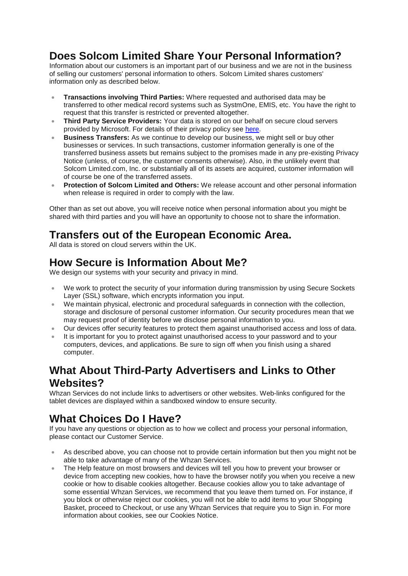## **Does Solcom Limited Share Your Personal Information?**

Information about our customers is an important part of our business and we are not in the business of selling our customers' personal information to others. Solcom Limited shares customers' information only as described below.

- **Transactions involving Third Parties:** Where requested and authorised data may be transferred to other medical record systems such as SystmOne, EMIS, etc. You have the right to request that this transfer is restricted or prevented altogether.
- **Third Party Service Providers:** Your data is stored on our behalf on secure cloud servers provided by Microsoft. For details of their privacy policy see [here.](https://privacy.microsoft.com/en-gb/privacystatement)
- **Business Transfers:** As we continue to develop our business, we might sell or buy other businesses or services. In such transactions, customer information generally is one of the transferred business assets but remains subject to the promises made in any pre-existing Privacy Notice (unless, of course, the customer consents otherwise). Also, in the unlikely event that Solcom Limited.com, Inc. or substantially all of its assets are acquired, customer information will of course be one of the transferred assets.
- **Protection of Solcom Limited and Others:** We release account and other personal information when release is required in order to comply with the law.

Other than as set out above, you will receive notice when personal information about you might be shared with third parties and you will have an opportunity to choose not to share the information.

## **Transfers out of the European Economic Area.**

All data is stored on cloud servers within the UK.

## **How Secure is Information About Me?**

We design our systems with your security and privacy in mind.

- We work to protect the security of your information during transmission by using Secure Sockets Layer (SSL) software, which encrypts information you input.
- We maintain physical, electronic and procedural safeguards in connection with the collection, storage and disclosure of personal customer information. Our security procedures mean that we may request proof of identity before we disclose personal information to you.
- Our devices offer security features to protect them against unauthorised access and loss of data.
- It is important for you to protect against unauthorised access to your password and to your computers, devices, and applications. Be sure to sign off when you finish using a shared computer.

## **What About Third-Party Advertisers and Links to Other Websites?**

Whzan Services do not include links to advertisers or other websites. Web-links configured for the tablet devices are displayed within a sandboxed window to ensure security.

## **What Choices Do I Have?**

If you have any questions or objection as to how we collect and process your personal information, please contact our Customer Service.

- As described above, you can choose not to provide certain information but then you might not be able to take advantage of many of the Whzan Services.
- The Help feature on most browsers and devices will tell you how to prevent your browser or device from accepting new cookies, how to have the browser notify you when you receive a new cookie or how to disable cookies altogether. Because cookies allow you to take advantage of some essential Whzan Services, we recommend that you leave them turned on. For instance, if you block or otherwise reject our cookies, you will not be able to add items to your Shopping Basket, proceed to Checkout, or use any Whzan Services that require you to Sign in. For more information about cookies, see our Cookies Notice.